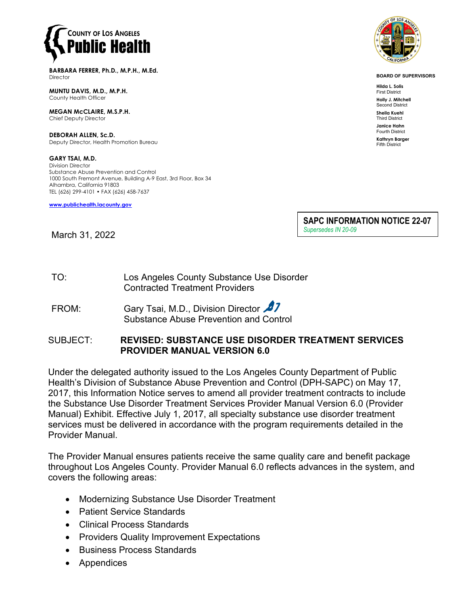

**BARBARA FERRER, Ph.D., M.P.H., M.Ed. Director** 

**MUNTU DAVIS, M.D., M.P.H.** County Health Officer

**MEGAN McCLAIRE, M.S.P.H.** Chief Deputy Director

**DEBORAH ALLEN, Sc.D.** Deputy Director, Health Promotion Bureau

**GARY TSAI, M.D.** Division Director Substance Abuse Prevention and Control 1000 South Fremont Avenue, Building A-9 East, 3rd Floor, Box 34 Alhambra, California 91803 TEL (626) 299-4101 • FAX (626) 458-7637

**[www.publichealth.lacounty.gov](http://www.publichealth.lacounty.gov/)**



**BOARD OF SUPERVISORS**

**Hilda L. Solis** First District **Holly J. Mitchell**

Second District **Sheila Kuehl**

Third District **Janice Hahn**

Fourth District **Kathryn Barger**

Fifth District

**SAPC INFORMATION NOTICE 22-07** *Supersedes IN 20-09*

March 31, 2022

| TO: | Los Angeles County Substance Use Disorder |
|-----|-------------------------------------------|
|     | <b>Contracted Treatment Providers</b>     |

FROM: Gary Tsai, M.D., Division Director Substance Abuse Prevention and Control

## SUBJECT: **REVISED: SUBSTANCE USE DISORDER TREATMENT SERVICES PROVIDER MANUAL VERSION 6.0**

Under the delegated authority issued to the Los Angeles County Department of Public Health's Division of Substance Abuse Prevention and Control (DPH-SAPC) on May 17, 2017, this Information Notice serves to amend all provider treatment contracts to include the Substance Use Disorder Treatment Services Provider Manual Version 6.0 (Provider Manual) Exhibit. Effective July 1, 2017, all specialty substance use disorder treatment services must be delivered in accordance with the program requirements detailed in the Provider Manual.

The Provider Manual ensures patients receive the same quality care and benefit package throughout Los Angeles County. Provider Manual 6.0 reflects advances in the system, and covers the following areas:

- Modernizing Substance Use Disorder Treatment
- Patient Service Standards
- Clinical Process Standards
- Providers Quality Improvement Expectations
- Business Process Standards
- **Appendices**